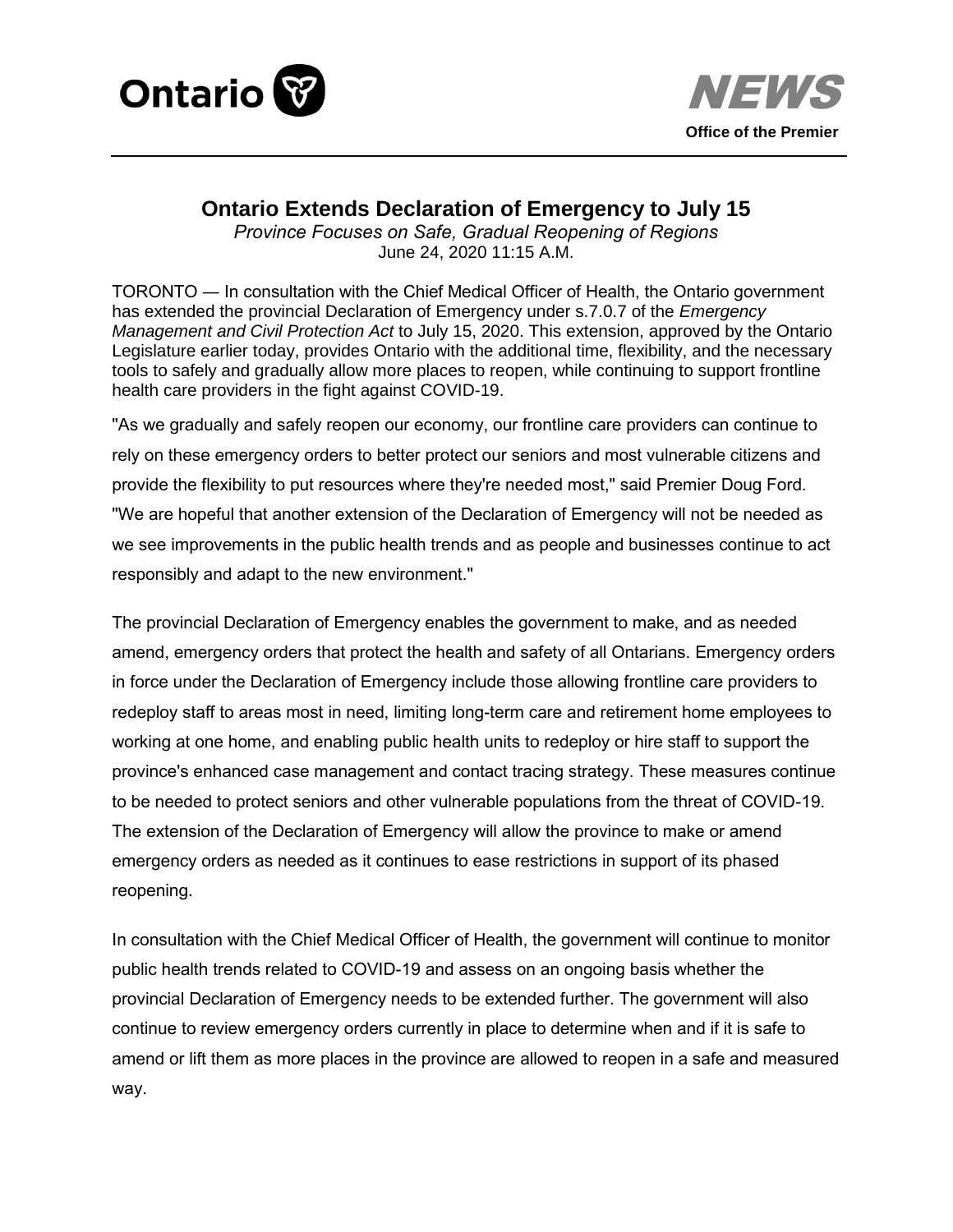



## **Ontario Extends Declaration of Emergency to July 15**

*Province Focuses on Safe, Gradual Reopening of Regions*  June 24, 2020 11:15 A.M.

TORONTO ― In consultation with the Chief Medical Officer of Health, the Ontario government has extended the provincial Declaration of Emergency under s.7.0.7 of the *Emergency Management and Civil Protection Act* to July 15, 2020. This extension, approved by the Ontario Legislature earlier today, provides Ontario with the additional time, flexibility, and the necessary tools to safely and gradually allow more places to reopen, while continuing to support frontline health care providers in the fight against COVID-19.

"As we gradually and safely reopen our economy, our frontline care providers can continue to rely on these emergency orders to better protect our seniors and most vulnerable citizens and provide the flexibility to put resources where they're needed most," said Premier Doug Ford. "We are hopeful that another extension of the Declaration of Emergency will not be needed as we see improvements in the public health trends and as people and businesses continue to act responsibly and adapt to the new environment."

The provincial Declaration of Emergency enables the government to make, and as needed amend, emergency orders that protect the health and safety of all Ontarians. Emergency orders in force under the Declaration of Emergency include those allowing frontline care providers to redeploy staff to areas most in need, limiting long-term care and retirement home employees to working at one home, and enabling public health units to redeploy or hire staff to support the province's enhanced case management and contact tracing strategy. These measures continue to be needed to protect seniors and other vulnerable populations from the threat of COVID-19. The extension of the Declaration of Emergency will allow the province to make or amend emergency orders as needed as it continues to ease restrictions in support of its phased reopening.

In consultation with the Chief Medical Officer of Health, the government will continue to monitor public health trends related to COVID-19 and assess on an ongoing basis whether the provincial Declaration of Emergency needs to be extended further. The government will also continue to review emergency orders currently in place to determine when and if it is safe to amend or lift them as more places in the province are allowed to reopen in a safe and measured way.